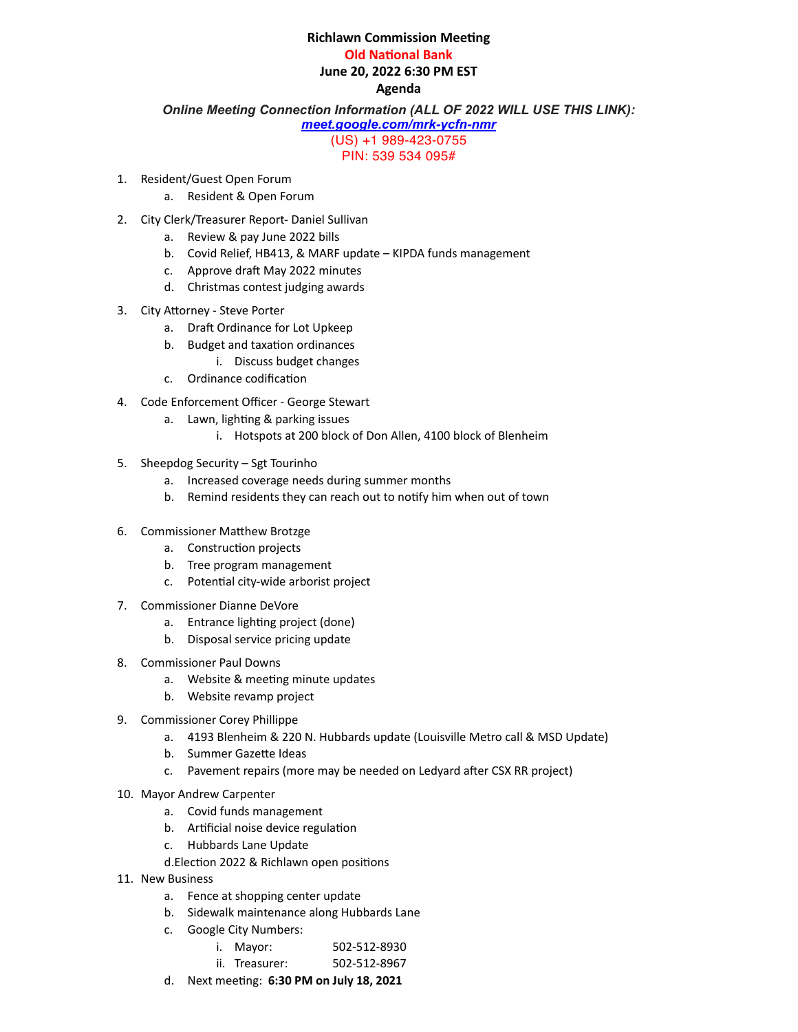## **Richlawn Commission Meeting**

**Old National Bank** 

June 20, 2022 6:30 PM EST

## **Agenda**

*Online Meeting Connection Information (ALL OF 2022 WILL USE THIS LINK):* 

*[meet.google.com/mrk-ycfn-nmr](https://meet.google.com/mrk-ycfn-nmr)*

(US) +1 989-423-0755

PIN: 539 534 095#

- 1. Resident/Guest Open Forum
	- a. Resident & Open Forum
- 2. City Clerk/Treasurer Report- Daniel Sullivan
	- a. Review & pay June 2022 bills
	- b. Covid Relief, HB413, & MARF update KIPDA funds management
	- c. Approve draft May 2022 minutes
	- d. Christmas contest judging awards
- 3. City Attorney Steve Porter
	- a. Draft Ordinance for Lot Upkeep
	- b. Budget and taxation ordinances
		- i. Discuss budget changes
	- c. Ordinance codification
- 4. Code Enforcement Officer George Stewart
	- a. Lawn, lighting & parking issues
		- i. Hotspots at 200 block of Don Allen, 4100 block of Blenheim
- 5. Sheepdog Security Sgt Tourinho
	- a. Increased coverage needs during summer months
	- b. Remind residents they can reach out to notify him when out of town
- 6. Commissioner Matthew Brotzge
	- a. Construction projects
	- b. Tree program management
	- c. Potential city-wide arborist project
- 7. Commissioner Dianne DeVore
	- a. Entrance lighting project (done)
	- b. Disposal service pricing update
- 8. Commissioner Paul Downs
	- a. Website & meeting minute updates
	- b. Website revamp project
- 9. Commissioner Corey Phillippe
	- a. 4193 Blenheim & 220 N. Hubbards update (Louisville Metro call & MSD Update)
	- b. Summer Gazette Ideas
	- c. Pavement repairs (more may be needed on Ledyard after CSX RR project)
- 10. Mayor Andrew Carpenter
	- a. Covid funds management
	- b. Artificial noise device regulation
	- c. Hubbards Lane Update
	- d. Election 2022 & Richlawn open positions
- 11. New Business
	- a. Fence at shopping center update
	- b. Sidewalk maintenance along Hubbards Lane
	- c. Google City Numbers:
		- i. Mayor: 502-512-8930
		- ii. Treasurer: 502-512-8967
	- d. Next meeting: 6:30 PM on July 18, 2021